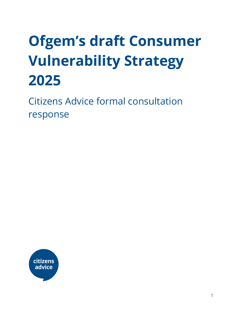# **Ofgem's draft Consumer Vulnerability Strategy 2025**

Citizens Advice formal consultation response

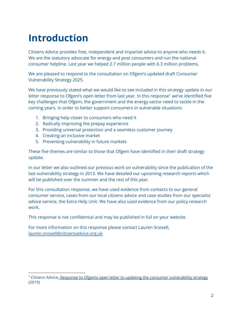# **Introduction**

Citizens Advice provides free, independent and impartial advice to anyone who needs it. We are the statutory advocate for energy and post consumers and run the national consumer helpline. Last year we helped 2.7 million people with 6.3 million problems.

We are pleased to respond to the consultation on Ofgem's updated draft Consumer Vulnerability Strategy 2025.

We have previously stated what we would like to see included in this strategy update in our letter response to Ofgem's open letter from last year. In this response<sup>1</sup> we've identified five key challenges that Ofgem, the government and the energy sector need to tackle in the coming years, in order to better support consumers in vulnerable situations:

- 1. Bringing help closer to consumers who need it
- 2. Radically improving the prepay experience
- 3. Providing universal protection and a seamless customer journey
- 4. Creating an inclusive market
- 5. Preventing vulnerability in future markets

These five themes are similar to those that Ofgem have identified in their draft strategy update.

In our letter we also outlined our previous work on vulnerability since the publication of the last vulnerability strategy in 2013. We have detailed our upcoming research reports which will be published over the summer and the rest of this year.

For this consultation response, we have used evidence from contacts to our general consumer service, cases from our local citizens advice and case studies from our specialist advice service, the Extra Help Unit. We have also used evidence from our policy research work.

This response is not confidential and may be published in full on your website.

For more information on this response please contact Lauren Snoxell, [lauren.snoxell@citizensadvice.org.uk](mailto:lauren.snoxell@citizensadvice.org.uk)

<sup>&</sup>lt;sup>1</sup> Citizens Advice, Response to Ofgems open letter to updating the consumer [vulnerability](https://www.citizensadvice.org.uk/about-us/policy/policy-research-topics/energy-policy-research-and-consultation-responses/energy-consultation-responses/citizens-advice-response-to-ofgems-open-letter-to-updating-the-consumer-vulnerability-strategy/) strategy (2019)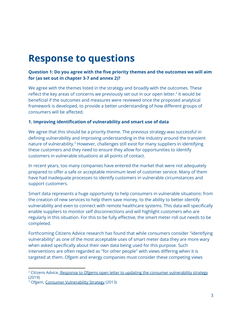# **Response to questions**

# **Question 1: Do you agree with the five priority themes and the outcomes we will aim for (as set out in chapter 3-7 and annex 2)?**

We agree with the themes listed in the strategy and broadly with the outcomes. These reflect the key areas of concerns we previously set out in our open letter.<sup>2</sup> It would be beneficial if the outcomes and measures were reviewed once the proposed analytical framework is developed, to provide a better understanding of how different groups of consumers will be affected.

## **1. Improving identification of vulnerability and smart use of data**

We agree that this should be a priority theme. The previous strategy was successful in defining vulnerability and improving understanding in the industry around the transient nature of vulnerability.<sup>3</sup> However, challenges still exist for many suppliers in identifying these customers and they need to ensure they allow for opportunities to identify customers in vulnerable situations at all points of contact.

In recent years, too many companies have entered the market that were not adequately prepared to offer a safe or acceptable minimum level of customer service. Many of them have had inadequate processes to identify customers in vulnerable circumstances and support customers.

Smart data represents a huge opportunity to help consumers in vulnerable situations: from the creation of new services to help them save money, to the ability to better identify vulnerability and even to connect with remote healthcare systems. This data will specifically enable suppliers to monitor self disconnections and will highlight customers who are regularly in this situation. For this to be fully effective, the smart meter roll out needs to be completed.

Forthcoming Citizens Advice research has found that while consumers consider "identifying vulnerability" as one of the most acceptable uses of smart meter data they are more wary when asked specifically about their own data being used for this purpose. Such interventions are often regarded as "for other people" with views differing when it is targeted at them. Ofgem and energy companies must consider these competing views

<sup>&</sup>lt;sup>2</sup> Citizens Advice, Response to Ofgems open letter to updating the consumer [vulnerability](https://www.citizensadvice.org.uk/about-us/policy/policy-research-topics/energy-policy-research-and-consultation-responses/energy-consultation-responses/citizens-advice-response-to-ofgems-open-letter-to-updating-the-consumer-vulnerability-strategy/) strategy (2019)

<sup>&</sup>lt;sup>3</sup> Ofgem, Consumer [Vulnerability](https://www.ofgem.gov.uk/ofgem-publications/75550/consumer-vulnerability-strategy-pdf) Strategy (2013)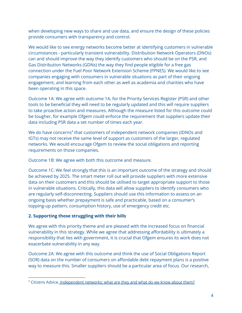when developing new ways to share and use data, and ensure the design of these policies provide consumers with transparency and control.

We would like to see energy networks become better at identifying customers in vulnerable circumstances - particularly transient vulnerability. Distribution Network Operators (DNOs) can and should improve the way they identify customers who should be on the PSR, and Gas Distribution Networks (GDNs) the way they find people eligible for a free gas connection under the Fuel Poor Network Extension Scheme (FPNES). We would like to see companies engaging with consumers in vulnerable situations as part of their ongoing engagement, and learning from each other as well as academia and charities who have been operating in this space.

Outcome 1A: We agree with outcome 1A, for the Priority Services Register (PSR) and other tools to be beneficial they will need to be regularly updated and this will require suppliers to take proactive action and measures. Although the measure listed for this outcome could be tougher, for example Ofgem could enforce the requirement that suppliers update their data including PSR data a set number of times each year.

We do have concerns<sup>4</sup> that customers of independent network companies (IDNOs and IGTs) may not receive the same level of support as customers of the larger, regulated networks. We would encourage Ofgem to review the social obligations and reporting requirements on those companies.

Outcome 1B: We agree with both this outcome and measure.

Outcome 1C: We feel strongly that this is an important outcome of the strategy and should be achieved by 2025. The smart meter roll out will provide suppliers with more extensive data on their customers and this should be utilised to target appropriate support to those in vulnerable situations. Critically, this data will allow suppliers to identify consumers who are regularly self-disconnecting. Suppliers should use this information to assess on an ongoing basis whether prepayment is safe and practicable, based on a consumer's topping-up pattern, consumption history, use of emergency credit etc.

# **2. Supporting those struggling with their bills**

We agree with this priority theme and are pleased with the increased focus on financial vulnerability in this strategy. While we agree that addressing affordability is ultimately a responsibility that lies with government, it is crucial that Ofgem ensures its work does not exacerbate vulnerability in any way.

Outcome 2A: We agree with this outcome and think the use of Social Obligations Report (SOR) data on the number of consumers on affordable debt repayment plans is a positive way to measure this. Smaller suppliers should be a particular area of focus. Our research,

<sup>&</sup>lt;sup>4</sup> Citizens Advice, [Independent](https://www.citizensadvice.org.uk/about-us/policy/policy-research-topics/energy-policy-research-and-consultation-responses/energy-policy-research/independent-energy-networks-what-are-they-and-what-do-we-know-about-them/) networks: what are they and what do we know about them?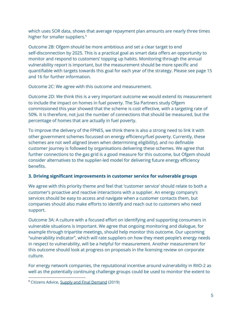which uses SOR data, shows that average repayment plan amounts are nearly three times higher for smaller suppliers. 5

Outcome 2B: Ofgem should be more ambitious and set a clear target to end self-disconnection by 2025. This is a practical goal as smart data offers an opportunity to monitor and respond to customers' topping up habits. Monitoring through the annual vulnerability report is important, but the measurement should be more specific and quantifiable with targets towards this goal for each year of the strategy. Please see page 15 and 16 for further information.

Outcome 2C: We agree with this outcome and measurement.

Outcome 2D: We think this is a very important outcome we would extend its measurement to include the impact on homes in fuel poverty. The Sia Partners study Ofgem commissioned this year showed that the scheme is cost effective, with a targeting rate of 50%. It is therefore, not just the number of connections that should be measured, but the percentage of homes that are actually in fuel poverty.

To improve the delivery of the FPNES, we think there is also a strong need to link it with other government schemes focussed on energy efficiency/fuel poverty. Currently, these schemes are not well aligned (even when determining eligibility), and no definable customer journey is followed by organisations delivering these schemes. We agree that further connections to the gas grid is a good measure for this outcome, but Ofgem should consider alternatives to the supplier-led model for delivering future energy efficiency benefits.

# **3. Driving significant improvements in customer service for vulnerable groups**

We agree with this priority theme and feel that 'customer service' should relate to both a customer's proactive and reactive interactions with a supplier. An energy company's services should be easy to access and navigate when a customer contacts them, but companies should also make efforts to identify and reach out to customers who need support.

Outcome 3A: A culture with a focused effort on identifying and supporting consumers in vulnerable situations is important. We agree that ongoing monitoring and dialogue, for example through tripartite meetings, should help monitor this outcome. Our upcoming "vulnerability indicator", which will rate suppliers on how they meet people's energy needs in respect to vulnerability, will be a helpful for measurement. Another measurement for this outcome should look at progress on proposals in the licensing review on corporate culture.

For energy network companies, the reputational incentive around vulnerability in RIIO-2 as well as the potentially continuing challenge groups could be used to monitor the extent to

<sup>&</sup>lt;sup>5</sup> Citizens Advice, Supply and Final [Demand](https://www.citizensadvice.org.uk/about-us/policy/policy-research-topics/energy-policy-research-and-consultation-responses/energy-policy-research/supply-and-final-demand-improving-support-for-energy-consumers-in-vulnerable-circumstances-who-fall-behind-on-their-bills/) (2019)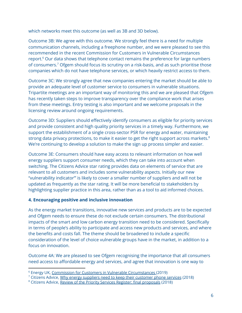which networks meet this outcome (as well as 3B and 3D below).

Outcome 3B: We agree with this outcome. We strongly feel there is a need for multiple communication channels, including a freephone number, and we were pleased to see this recommended in the recent Commission for Customers in Vulnerable Circumstances report.<sup>6</sup> Our data shows that telephone contact remains the preference for large numbers of consumers.<sup>7</sup> Ofgem should focus its scrutiny on a risk-basis, and as such prioritise those companies which do not have telephone services, or which heavily restrict access to them.

Outcome 3C: We strongly agree that new companies entering the market should be able to provide an adequate level of customer service to consumers in vulnerable situations. Tripartite meetings are an important way of monitoring this and we are pleased that Ofgem has recently taken steps to improve transparency over the compliance work that arises from these meetings. Entry testing is also important and we welcome proposals in the licensing review around ongoing requirements.

Outcome 3D: Suppliers should effectively identify consumers as eligible for priority services and provide consistent and high quality priority services in a timely way. Furthermore, we support the establishment of a single cross-sector PSR for energy and water, maintaining strong data privacy protections, to make it easier to get the right support across markets.<sup>8</sup> We're continuing to develop a solution to make the sign up process simpler and easier.

Outcome 3E: Consumers should have easy access to relevant information on how well energy suppliers support consumer needs, which they can take into account when switching. The Citizens Advice star rating provides data on elements of service that are relevant to all customers and includes some vulnerability aspects. Initially our new "vulnerability indicator"' is likely to cover a smaller number of suppliers and will not be updated as frequently as the star rating. It will be more beneficial to stakeholders by highlighting supplier practice in this area, rather than as a tool to aid informed choices.

# **4. Encouraging positive and inclusive innovation**

As the energy market transitions, innovative new services and products are to be expected and Ofgem needs to ensure these do not exclude certain consumers. The distributional impacts of the smart and low carbon energy transition need to be considered. Specifically in terms of people's ability to participate and access new products and services, and where the benefits and costs fall. The theme should be broadened to include a specific consideration of the level of choice vulnerable groups have in the market, in addition to a focus on innovation.

Outcome 4A: We are pleased to see Ofgem recognising the importance that all consumers need access to affordable energy and services, and agree that innovation is one way to

<sup>6</sup> Energy UK, Commission for Customers in Vulnerable [Circumstances](https://www.energy-uk.org.uk/our-work/commission-for-customers-in-vulnerable-circumstances.html) (2019)

<sup>&</sup>lt;sup>7</sup> Citizens Advice, Why energy suppliers need to keep their [customer](https://wearecitizensadvice.org.uk/why-energy-suppliers-need-to-keep-their-customer-phone-services-513b568848b1) phone services (2018)

<sup>8</sup> Citizens Advice, Review of the Priority Services Register: final [proposals](https://www.citizensadvice.org.uk/about-us/policy/policy-research-topics/energy-policy-research-and-consultation-responses/energy-consultation-responses/warm-home-discount-scheme-201819/) (2018)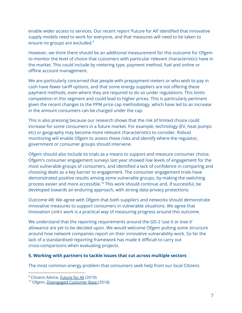enable wider access to services. Our recent report 'Future for All' identified that innovative supply models need to work for everyone, and that measures will need to be taken to ensure no groups are excluded. 9

However, we think there should be an additional measurement for this outcome for Ofgem to monitor the level of choice that customers with particular relevant characteristics have in the market. This could include by metering type, payment method, fuel and online or offline account management.

We are particularly concerned that people with prepayment meters or who wish to pay in cash have fewer tariff options, and that some energy suppliers are not offering these payment methods, even where they are required to do so under regulations. This limits competition in this segment and could lead to higher prices. This is particularly pertinent given the recent changes to the PPM price cap methodology, which have led to an increase in the amount consumers can be charged under the cap.

This is also pressing because our research shows that the risk of limited choice could increase for some consumers in a future market. For example, technology (EV, heat pumps etc) or geography may become more relevant characteristics to consider. Robust monitoring will enable Ofgem to assess these risks and identify where the regulator, government or consumer groups should intervene.

Ofgem should also include its trials as a means to support and measure consumer choice. Ofgem's consumer engagement surveys last year showed low levels of engagement for the most vulnerable groups of consumers, and identified a lack of confidence in comparing and choosing deals as a key barrier to engagement. The consumer engagement trials have demonstrated positive results among some vulnerable groups, by making the switching process easier and more accessible.<sup>10</sup> This work should continue and, if successful, be developed towards an enduring approach, with strong data privacy protections.

Outcome 4B: We agree with Ofgem that both suppliers and networks should demonstrate innovative measures to support consumers in vulnerable situations. We agree that Innovation Link's work is a practical way of measuring progress around this outcome.

We understand that the reporting requirements around the GD-2 'use it or lose it' allowance are yet to be decided upon. We would welcome Ofgem putting some structure around how network companies report on their innovative vulnerability work. So far the lack of a standardised reporting framework has made it difficult to carry out cross-comparisons when evaluating projects.

#### **5. Working with partners to tackle issues that cut across multiple sectors**

The most common energy problem that consumers seek help from our local Citizens

<sup>&</sup>lt;sup>9</sup> Citizens Advice, **[Future](https://www.citizensadvice.org.uk/Global/CitizensAdvice/Energy/Future%20for%20all_FINAL.pdf) for All (2019)** 

<sup>&</sup>lt;sup>10</sup> Ofgem, [Disengaged](https://www.ofgem.gov.uk/consumers/household-gas-and-electricity-guide/how-switch-energy-supplier-and-shop-better-deal/ofgem-disengaged-customer-database) Customer Base (2018)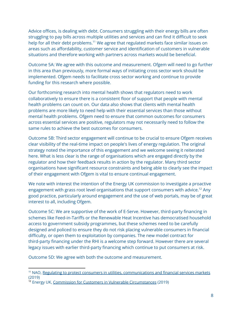Advice offices, is dealing with debt. Consumers struggling with their energy bills are often struggling to pay bills across multiple utilities and services and can find it difficult to seek help for all their debt problems.<sup>11</sup> We agree that regulated markets face similar issues on areas such as affordability, customer service and identification of customers in vulnerable situations and therefore working with partners across markets would be beneficial.

Outcome 5A: We agree with this outcome and measurement. Ofgem will need to go further in this area than previously, more formal ways of initiating cross sector work should be implemented. Ofgem needs to facilitate cross sector working and continue to provide funding for this research where possible.

Our forthcoming research into mental health shows that regulators need to work collaboratively to ensure there is a consistent floor of support that people with mental health problems can count on. Our data also shows that clients with mental health problems are more likely to need help with their essential services than those without mental health problems. Ofgem need to ensure that common outcomes for consumers across essential services are positive, regulators may not necessarily need to follow the same rules to achieve the best outcomes for consumers.

Outcome 5B: Third sector engagement will continue to be crucial to ensure Ofgem receives clear visibility of the real-time impact on people's lives of energy regulation. The original strategy noted the importance of this engagement and we welcome seeing it reiterated here. What is less clear is the range of organisations which are engaged directly by the regulator and how their feedback results in action by the regulator. Many third sector organisations have significant resource constraints and being able to clearly see the impact of their engagement with Ofgem is vital to ensure continual engagement.

We note with interest the intention of the Energy UK commission to investigate a proactive engagement with grass root level organisations that support consumers with advice.<sup>12</sup> Any good practice, particularly around engagement and the use of web portals, may be of great interest to all, including Ofgem.

Outcome 5C: We are supportive of the work of E-Serve. However, third-party financing in schemes like Feed-in-Tariffs or the Renewable Heat Incentive has democratised household access to government subsidy programmes, but these schemes need to be carefully designed and policed to ensure they do not risk placing vulnerable consumers in financial difficulty, or open them to exploitation by companies. The new model contract for third-party financing under the RHI is a welcome step forward. However there are several legacy issues with earlier third-party financing which continue to put consumers at risk.

Outcome 5D: We agree with both the outcome and measurement.

<sup>&</sup>lt;sup>11</sup> NAO, Regulating to protect consumers in utilities, [communications](https://www.nao.org.uk/wp-content/uploads/2019/03/Regulating-to-protect-consumers-in-utilities-communications-and-financial-service-markets-Summary.pdf) and financial services markets (2019)

<sup>&</sup>lt;sup>12</sup> Energy UK, Commission for Customers in Vulnerable [Circumstances](https://www.energy-uk.org.uk/our-work/commission-for-customers-in-vulnerable-circumstances.html) (2019)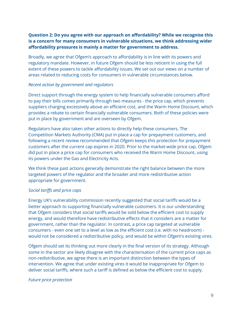# **Question 2: Do you agree with our approach on affordability? While we recognise this is a concern for many consumers in vulnerable situations, we think addressing wider affordability pressures is mainly a matter for government to address.**

Broadly, we agree that Ofgem's approach to affordability is in line with its powers and regulatory mandate. However, in future Ofgem should be less reticent in using the full extent of these powers to tackle affordability issues. We set out our views on a number of areas related to reducing costs for consumers in vulnerable circumstances below.

#### *Recent action by government and regulators*

Direct support through the energy system to help financially vulnerable consumers afford to pay their bills comes primarily through two measures - the price cap, which prevents suppliers charging excessively above an efficient cost, and the Warm Home Discount, which provides a rebate to certain financially vulnerable consumers. Both of these policies were put in place by government and are overseen by Ofgem.

Regulators have also taken other actions to directly help these consumers. The Competition Markets Authority (CMA) put in place a cap for prepayment customers, and following a recent review recommended that Ofgem keeps this protection for prepayment customers after the current cap expires in 2020. Prior to the market-wide price cap, Ofgem did put in place a price cap for consumers who received the Warm Home Discount, using its powers under the Gas and Electricity Acts.

We think these past actions generally demonstrate the right balance between the more targeted powers of the regulator and the broader and more redistributive action appropriate for government.

#### *Social tariffs and price caps*

Energy UK's vulnerability commission recently suggested that social tariffs would be a better approach to supporting financially vulnerable customers. It is our understanding that Ofgem considers that social tariffs would be sold below the efficient cost to supply energy, and would therefore have redistributive effects that it considers are a matter for government, rather than the regulator. In contrast, a price cap targeted at vulnerable consumers - even one set to a level as low as the efficient cost (i.e. with no headroom) would not be considered a redistributive policy, and would be within Ofgem's existing vires.

Ofgem should set its thinking out more clearly in the final version of its strategy. Although some in the sector are likely disagree with the characterisation of the current price caps as non-redistributive, we agree there is an important distinction between the types of intervention. We agree that under existing vires it would be inappropriate for Ofgem to deliver social tariffs, where such a tariff is defined as below the efficient cost to supply.

#### *Future price protection*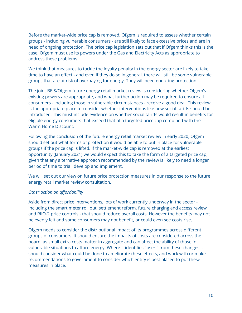Before the market-wide price cap is removed, Ofgem is required to assess whether certain groups - including vulnerable consumers - are still likely to face excessive prices and are in need of ongoing protection. The price cap legislation sets out that if Ofgem thinks this is the case, Ofgem must use its powers under the Gas and Electricity Acts as appropriate to address these problems.

We think that measures to tackle the loyalty penalty in the energy sector are likely to take time to have an effect - and even if they do so in general, there will still be some vulnerable groups that are at risk of overpaying for energy. They will need enduring protection.

The joint BEIS/Ofgem future energy retail market review is considering whether Ofgem's existing powers are appropriate, and what further action may be required to ensure all consumers - including those in vulnerable circumstances - receive a good deal. This review is the appropriate place to consider whether interventions like new social tariffs should be introduced. This must include evidence on whether social tariffs would result in benefits for eligible energy consumers that exceed that of a targeted price cap combined with the Warm Home Discount.

Following the conclusion of the future energy retail market review in early 2020, Ofgem should set out what forms of protection it would be able to put in place for vulnerable groups if the price cap is lifted. If the market-wide cap is removed at the earliest opportunity (January 2021) we would expect this to take the form of a targeted price cap, given that any alternative approach recommended by the review is likely to need a longer period of time to trial, develop and implement.

We will set out our view on future price protection measures in our response to the future energy retail market review consultation.

#### *Other action on affordability*

Aside from direct price interventions, lots of work currently underway in the sector including the smart meter roll out, settlement reform, future charging and access review and RIIO-2 price controls - that should reduce overall costs. However the benefits may not be evenly felt and some consumers may not benefit, or could even see costs rise.

Ofgem needs to consider the distributional impact of its programmes across different groups of consumers. It should ensure the impacts of costs are considered across the board, as small extra costs matter in aggregate and can affect the ability of those in vulnerable situations to afford energy. Where it identifies 'losers' from these changes it should consider what could be done to ameliorate these effects, and work with or make recommendations to government to consider which entity is best placed to put these measures in place.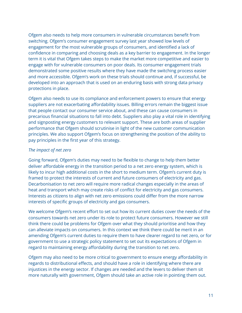Ofgem also needs to help more consumers in vulnerable circumstances benefit from switching. Ofgem's consumer engagement survey last year showed low levels of engagement for the most vulnerable groups of consumers, and identified a lack of confidence in comparing and choosing deals as a key barrier to engagement. In the longer term it is vital that Ofgem takes steps to make the market more competitive and easier to engage with for vulnerable consumers on poor deals. Its consumer engagement trials demonstrated some positive results where they have made the switching process easier and more accessible. Ofgem's work on these trials should continue and, if successful, be developed into an approach that is used on an enduring basis with strong data privacy protections in place.

Ofgem also needs to use its compliance and enforcement powers to ensure that energy suppliers are not exacerbating affordability issues. Billing errors remain the biggest issue that people contact our consumer service about, and these can cause consumers in precarious financial situations to fall into debt. Suppliers also play a vital role in identifying and signposting energy customers to relevant support. These are both areas of supplier performance that Ofgem should scrutinise in light of the new customer communication principles. We also support Ofgem's focus on strengthening the position of the ability to pay principles in the first year of this strategy.

## *The impact of net zero*

Going forward, Ofgem's duties may need to be flexible to change to help them better deliver affordable energy in the transition period to a net zero energy system, which is likely to incur high additional costs in the short to medium term. Ofgem's current duty is framed to protect the interests of current and future consumers of electricity and gas. Decarbonisation to net zero will require more radical changes especially in the areas of heat and transport which may create risks of conflict for electricity and gas consumers. Interests as citizens to align with net zero emissions could differ from the more narrow interests of specific groups of electricity and gas consumers.

We welcome Ofgem's recent effort to set out how its current duties cover the needs of the consumers towards net zero under its role to protect future consumers. However we still think there could be problems for Ofgem over what they should prioritise and how they can alleviate impacts on consumers. In this context we think there could be merit in an amending Ofgem's current duties to require them to have clearer regard to net zero, or for government to use a strategic policy statement to set out its expectations of Ofgem in regard to maintaining energy affordability during the transition to net zero.

Ofgem may also need to be more critical to government to ensure energy affordability in regards to distributional effects, and should have a role in identifying where there are injustices in the energy sector. If changes are needed and the levers to deliver them sit more naturally with government, Ofgem should take an active role in pointing them out.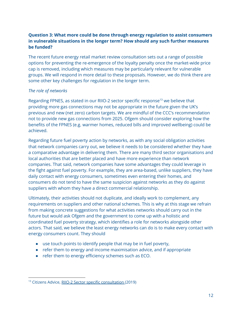# **Question 3: What more could be done through energy regulation to assist consumers in vulnerable situations in the longer term? How should any such further measures be funded?**

The recent future energy retail market review consultation sets out a range of possible options for preventing the re-emergence of the loyalty penalty once the market-wide price cap is removed, including which measures may be particularly relevant for vulnerable groups. We will respond in more detail to these proposals. However, we do think there are some other key challenges for regulation in the longer term.

## *The role of networks*

Regarding FPNES, as stated in our RIIO-2 sector specific response<sup>13</sup> we believe that providing more gas connections may not be appropriate in the future given the UK's previous and new (net zero) carbon targets. We are mindful of the CCC's recommendation not to provide new gas connections from 2025. Ofgem should consider exploring how the benefits of the FPNES (e.g. warmer homes, reduced bills and improved wellbeing) could be achieved.

Regarding future fuel poverty action by networks, as with any social obligation activities that network companies carry out, we believe it needs to be considered whether they have a comparative advantage in delivering them. There are many third sector organisations and local authorities that are better placed and have more experience than network companies. That said, network companies have some advantages they could leverage in the fight against fuel poverty. For example, they are area-based, unlike suppliers, they have daily contact with energy consumers, sometimes even entering their homes, and consumers do not tend to have the same suspicion against networks as they do against suppliers with whom they have a direct commercial relationship.

Ultimately, their activities should not duplicate, and ideally work to complement, any requirements on suppliers and other national schemes. This is why at this stage we refrain from making concrete suggestions for what activities networks should carry out in the future but would ask Ofgem and the government to come up with a holistic and coordinated fuel poverty strategy, which identifies a role for networks alongside other actors. That said, we believe the least energy networks can do is to make every contact with energy consumers count. They should

- use touch points to identify people that may be in fuel poverty,
- refer them to energy and income maximisation advice, and if appropriate
- refer them to energy efficiency schemes such as ECO.

<sup>&</sup>lt;sup>13</sup> Citizens Advice, RIIO-2 Sector specific [consultation](https://www.citizensadvice.org.uk/Global/CitizensAdvice/Energy/Energy%20Consultation%20responses/2Citizens%20Advice%20-%20RIIO2%20sector%20specific%20response%20-%20March%202019.pdf) (2019)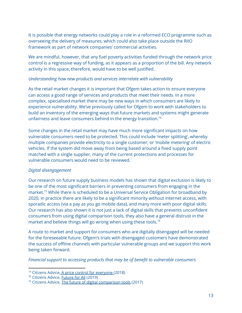It is possible that energy networks could play a role in a reformed ECO programme such as overseeing the delivery of measures, which could also take place outside the RIIO framework as part of network companies' commercial activities.

We are mindful, however, that any fuel poverty activities funded through the network price control is a regressive way of funding, as it appears as a proportion of the bill. Any network activity in this space, therefore, would have to be well justified.

#### *Understanding how new products and services interrelate with vulnerability*

As the retail market changes it is important that Ofgem takes action to ensure everyone can access a good range of services and products that meet their needs. In a more complex, specialised market there may be new ways in which consumers are likely to experience vulnerability. We've previously called for Ofgem to work with stakeholders to build an inventory of the emerging ways that future markets and systems might generate unfairness and leave consumers behind in the energy transition. 14

Some changes in the retail market may have much more significant impacts on how vulnerable consumers need to be protected. This could include 'meter splitting', whereby multiple companies provide electricity to a single customer, or 'mobile metering' of electric vehicles. If the system did move away from being based around a fixed supply point matched with a single supplier, many of the current protections and processes for vulnerable consumers would need to be reviewed.

#### *Digital disengagement*

Our research on future supply business models has shown that digital exclusion is likely to be one of the most significant barriers in preventing consumers from engaging in the market.<sup>15</sup> While there is scheduled to be a Universal Service Obligation for broadband by 2020, in practice there are likely to be a significant minority without internet access, with sporadic access (via a pay as you go mobile data), and many more with poor digital skills. Our research has also shown it is not just a lack of digital skills that prevents unconfident consumers from using digital comparison tools, they also have a general distrust in the market and believe things will go wrong when using these tools. 16

A route to market and support for consumers who are digitally disengaged will be needed for the foreseeable future. Ofgem's trials with disengaged customers have demonstrated the success of offline channels with particular vulnerable groups and we support this work being taken forward.

*Financial support to accessing products that may be of benefit to vulnerable consumers*

<sup>&</sup>lt;sup>14</sup> Citizens Advice, A price control for [everyone](https://www.citizensadvice.org.uk/Global/CitizensAdvice/Energy/RIIO-2%20Vulnerability%20Essays_FINAL%20(1).pdf) (2018)

<sup>&</sup>lt;sup>15</sup> Citizens Advice, **[Future](https://www.citizensadvice.org.uk/Global/CitizensAdvice/Energy/Future%20for%20all_FINAL.pdf) for All (2019)** 

<sup>&</sup>lt;sup>16</sup> Citizens Advice, The future of digital [comparison](https://www.citizensadvice.org.uk/Global/CitizensAdvice/Consumer%20publications/FutureofDigitalComparisonTools%20(1).pdf) tools (2017)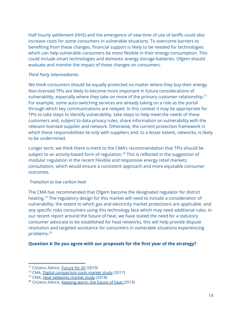Half hourly settlement (HHS) and the emergence of new time of use of tariffs could also increase costs for some consumers in vulnerable situations. To overcome barriers to benefiting from these changes, financial support is likely to be needed for technologies which can help vulnerable consumers be more flexible in their energy consumption. This could include smart technologies and domestic energy storage batteries. Ofgem should evaluate and monitor the impact of these changes on consumers.

#### *Third Party Intermediaries*

We think consumers should be equally protected no matter where they buy their energy. Non-licensed TPIs are likely to become more important in future considerations of vulnerability, especially where they take on more of the primary customer relationship. 17 For example, some auto-switching services are already taking on a role as the portal through which key communications are relayed. In this context it may be appropriate for TPIs to take steps to identify vulnerability, take steps to help meet the needs of these customers and, subject to data privacy rules, share information on vulnerability with the relevant licensed supplier and network. Otherwise, the current protection framework in which these responsibilities lie only with suppliers and, to a lesser extent, networks, is likely to be undermined.

Longer term, we think there is merit to the CMA's recommendation that TPIs should be subject to an activity-based form of regulation. $18$  This is reflected in the suggestion of modular regulation in the recent Flexible and responsive energy retail markets consultation, which would ensure a consistent approach and more equitable consumer outcomes.

#### *Transition to low carbon heat*

The CMA has recommended that Ofgem become the designated regulator for district heating.<sup>19</sup> The regulatory design for this market will need to include a consideration of vulnerability, the extent to which gas and electricity market protections are applicable, and any specific risks consumers using this technology face which may need additional rules. In our recent report around the future of heat, we have stated the need for a statutory consumer advocate to be established for heat networks, this will help provide dispute resolution and targeted assistance for consumers in vulnerable situations experiencing problems. 20

# **Question 4: Do you agree with our proposals for the first year of the strategy?**

<sup>&</sup>lt;sup>17</sup> Citizens Advice, **[Future](https://www.citizensadvice.org.uk/Global/CitizensAdvice/Energy/Future%20for%20all_FINAL.pdf) for All (2019)** 

<sup>&</sup>lt;sup>18</sup> CMA, Digital [comparison](https://www.gov.uk/cma-cases/digital-comparison-tools-market-study) tools market study (2017)

<sup>19</sup> CMA, Heat [networks](https://www.gov.uk/cma-cases/heat-networks-market-study) market study (2018)

<sup>&</sup>lt;sup>20</sup> Citizens Advice, [Keeping](https://www.citizensadvice.org.uk/about-us/policy/policy-research-topics/energy-policy-research-and-consultation-responses/energy-policy-research/keeping-warm-the-future-of-heat/) warm: the future of heat (2019)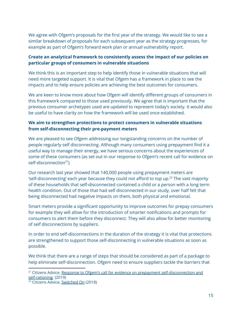We agree with Ofgem's proposals for the first year of the strategy. We would like to see a similar breakdown of proposals for each subsequent year as the strategy progresses, for example as part of Ofgem's forward work plan or annual vulnerability report.

# **Create an analytical framework to consistently assess the impact of our policies on particular groups of consumers in vulnerable situations**

We think this is an important step to help identify those in vulnerable situations that will need more targeted support. It is vital that Ofgem has a framework in place to see the impacts and to help ensure policies are achieving the best outcomes for consumers.

We are keen to know more about how Ofgem will identify different groups of consumers in this framework compared to those used previously. We agree that is important that the previous consumer archetypes used are updated to represent today's society. It would also be useful to have clarity on how the framework will be used once established.

# **We aim to strengthen protections to protect consumers in vulnerable situations from self-disconnecting their pre-payment meters**

We are pleased to see Ofgem addressing our longstanding concerns on the number of people regularly self disconnecting. Although many consumers using prepayment find it a useful way to manage their energy, we have serious concerns about the experiences of some of these consumers (as set out in our response to Ofgem's recent call for evidence on self-disconnection<sup>21</sup>).

Our research last year showed that 140,000 people using prepayment meters are 'self-disconnecting' each year because they could not afford to top up. $^{22}$  The vast majority of these households that self-disconnected contained a child or a person with a long term health condition. Out of those that had self disconnected in our study, over half felt that being disconnected had negative impacts on them, both physical and emotional.

Smart meters provide a significant opportunity to improve outcomes for prepay consumers for example they will allow for the introduction of smarter notifications and prompts for consumers to alert them before they disconnect. They will also allow for better monitoring of self disconnections by suppliers.

In order to end self-disconnections in the duration of the strategy it is vital that protections are strengthened to support those self-disconnecting in vulnerable situations as soon as possible.

We think that there are a range of steps that should be considered as part of a package to help eliminate self-disconnection. Ofgem need to ensure suppliers tackle the barriers that

<sup>&</sup>lt;sup>21</sup> Citizens Advice, Response to Ofgem's call for evidence on prepayment [self-disconnection](https://www.citizensadvice.org.uk/about-us/policy/policy-research-topics/energy-policy-research-and-consultation-responses/energy-consultation-responses/response-to-ofgems-call-for-evidence-on-prepayment-self-disconnection-and-self-rationing/) and [self-rationing](https://www.citizensadvice.org.uk/about-us/policy/policy-research-topics/energy-policy-research-and-consultation-responses/energy-consultation-responses/response-to-ofgems-call-for-evidence-on-prepayment-self-disconnection-and-self-rationing/), (2019)

<sup>&</sup>lt;sup>22</sup> Citizens Advice, [Switched](https://www.citizensadvice.org.uk/about-us/policy/policy-research-topics/energy-policy-research-and-consultation-responses/energy-policy-research/improving-support-for-prepay-customers-self-disconnecting/) On (2018)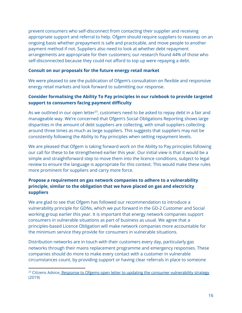prevent consumers who self-disconnect from contacting their supplier and receiving appropriate support and referral to help. Ofgem should require suppliers to reassess on an ongoing basis whether prepayment is safe and practicable, and move people to another payment method if not. Suppliers also need to look at whether debt repayment arrangements are appropriate for their customers; our research found 44% of those who self-disconnected because they could not afford to top up were repaying a debt.

#### **Consult on our proposals for the future energy retail market**

We were pleased to see the publication of Ofgem's consultation on flexible and responsive energy retail markets and look forward to submitting our response.

# **Consider formalising the Ability To Pay principles in our rulebook to provide targeted support to consumers facing payment difficulty**

As we outlined in our open letter $^{23}$ , customers need to be asked to repay debt in a fair and manageable way. We're concerned that Ofgem's Social Obligations Reporting shows large disparities in the amount of debt suppliers are collecting, with small suppliers collecting around three times as much as large suppliers. This suggests that suppliers may not be consistently following the Ability to Pay principles when setting repayment levels.

We are pleased that Ofgem is taking forward work on the Ability to Pay principles following our call for these to be strengthened earlier this year. Our initial view is that it would be a simple and straightforward step to move them into the licence conditions, subject to legal review to ensure the language is appropriate for this context. This would make these rules more prominent for suppliers and carry more force.

# **Propose a requirement on gas network companies to adhere to a vulnerability principle, similar to the obligation that we have placed on gas and electricity suppliers**

We are glad to see that Ofgem has followed our recommendation to introduce a vulnerability principle for GDNs, which we put forward in the GD-2 Customer and Social working group earlier this year. It is important that energy network companies support consumers in vulnerable situations as part of business as usual. We agree that a principles-based Licence Obligation will make network companies more accountable for the minimum service they provide for consumers in vulnerable situations.

Distribution networks are in touch with their customers every day, particularly gas networks through their mains replacement programme and emergency responses. These companies should do more to make every contact with a customer in vulnerable circumstances count, by providing support or having clear referrals in place to someone

<sup>&</sup>lt;sup>23</sup> Citizens Advice, Response to Ofgems open letter to updating the consumer [vulnerability](https://www.citizensadvice.org.uk/about-us/policy/policy-research-topics/energy-policy-research-and-consultation-responses/energy-consultation-responses/citizens-advice-response-to-ofgems-open-letter-to-updating-the-consumer-vulnerability-strategy/) strategy (2019)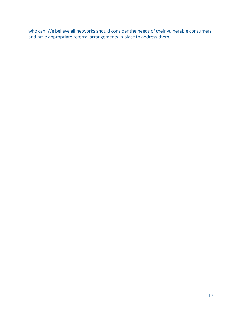who can. We believe all networks should consider the needs of their vulnerable consumers and have appropriate referral arrangements in place to address them.